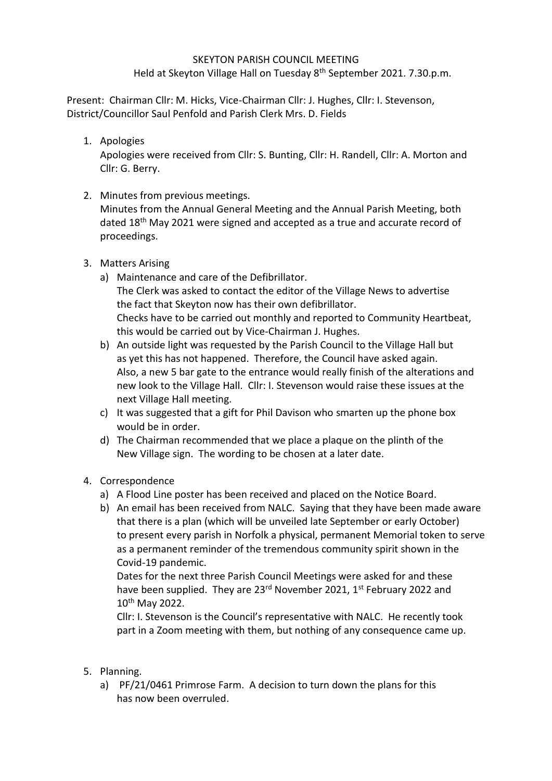## SKEYTON PARISH COUNCIL MEETING

Held at Skeyton Village Hall on Tuesday 8<sup>th</sup> September 2021. 7.30.p.m.

Present: Chairman Cllr: M. Hicks, Vice-Chairman Cllr: J. Hughes, Cllr: I. Stevenson, District/Councillor Saul Penfold and Parish Clerk Mrs. D. Fields

1. Apologies

Apologies were received from Cllr: S. Bunting, Cllr: H. Randell, Cllr: A. Morton and Cllr: G. Berry.

2. Minutes from previous meetings.

Minutes from the Annual General Meeting and the Annual Parish Meeting, both dated 18<sup>th</sup> May 2021 were signed and accepted as a true and accurate record of proceedings.

- 3. Matters Arising
	- a) Maintenance and care of the Defibrillator. The Clerk was asked to contact the editor of the Village News to advertise the fact that Skeyton now has their own defibrillator. Checks have to be carried out monthly and reported to Community Heartbeat, this would be carried out by Vice-Chairman J. Hughes.
	- b) An outside light was requested by the Parish Council to the Village Hall but as yet this has not happened. Therefore, the Council have asked again. Also, a new 5 bar gate to the entrance would really finish of the alterations and new look to the Village Hall. Cllr: I. Stevenson would raise these issues at the next Village Hall meeting.
	- c) It was suggested that a gift for Phil Davison who smarten up the phone box would be in order.
	- d) The Chairman recommended that we place a plaque on the plinth of the New Village sign. The wording to be chosen at a later date.
- 4. Correspondence
	- a) A Flood Line poster has been received and placed on the Notice Board.
	- b) An email has been received from NALC. Saying that they have been made aware that there is a plan (which will be unveiled late September or early October) to present every parish in Norfolk a physical, permanent Memorial token to serve as a permanent reminder of the tremendous community spirit shown in the Covid-19 pandemic.

Dates for the next three Parish Council Meetings were asked for and these have been supplied. They are 23<sup>rd</sup> November 2021, 1<sup>st</sup> February 2022 and 10th May 2022.

Cllr: I. Stevenson is the Council's representative with NALC. He recently took part in a Zoom meeting with them, but nothing of any consequence came up.

- 5. Planning.
	- a) PF/21/0461 Primrose Farm. A decision to turn down the plans for this has now been overruled.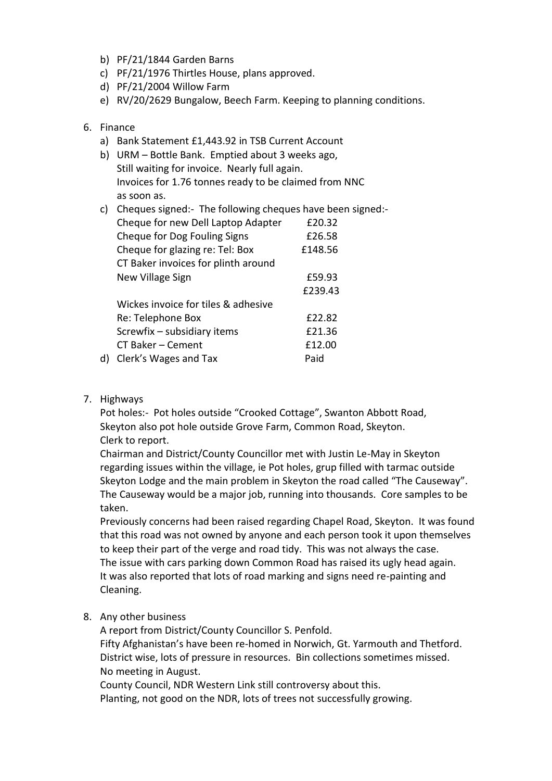- b) PF/21/1844 Garden Barns
- c) PF/21/1976 Thirtles House, plans approved.
- d) PF/21/2004 Willow Farm
- e) RV/20/2629 Bungalow, Beech Farm. Keeping to planning conditions.

## 6. Finance

- a) Bank Statement £1,443.92 in TSB Current Account
- b) URM Bottle Bank. Emptied about 3 weeks ago, Still waiting for invoice. Nearly full again. Invoices for 1.76 tonnes ready to be claimed from NNC as soon as.
- c) Cheques signed:- The following cheques have been signed:-

|    | Cheque for new Dell Laptop Adapter  | £20.32  |
|----|-------------------------------------|---------|
|    | Cheque for Dog Fouling Signs        | £26.58  |
|    | Cheque for glazing re: Tel: Box     | £148.56 |
|    | CT Baker invoices for plinth around |         |
|    | New Village Sign                    | £59.93  |
|    |                                     | £239.43 |
|    | Wickes invoice for tiles & adhesive |         |
|    | Re: Telephone Box                   | £22.82  |
|    | Screwfix - subsidiary items         | £21.36  |
|    | CT Baker - Cement                   | £12.00  |
| d) | Clerk's Wages and Tax               | Paid    |

7. Highways

Pot holes:- Pot holes outside "Crooked Cottage", Swanton Abbott Road, Skeyton also pot hole outside Grove Farm, Common Road, Skeyton. Clerk to report.

Chairman and District/County Councillor met with Justin Le-May in Skeyton regarding issues within the village, ie Pot holes, grup filled with tarmac outside Skeyton Lodge and the main problem in Skeyton the road called "The Causeway". The Causeway would be a major job, running into thousands. Core samples to be taken.

Previously concerns had been raised regarding Chapel Road, Skeyton. It was found that this road was not owned by anyone and each person took it upon themselves to keep their part of the verge and road tidy. This was not always the case. The issue with cars parking down Common Road has raised its ugly head again. It was also reported that lots of road marking and signs need re-painting and Cleaning.

8. Any other business

A report from District/County Councillor S. Penfold. Fifty Afghanistan's have been re-homed in Norwich, Gt. Yarmouth and Thetford. District wise, lots of pressure in resources. Bin collections sometimes missed. No meeting in August.

County Council, NDR Western Link still controversy about this. Planting, not good on the NDR, lots of trees not successfully growing.